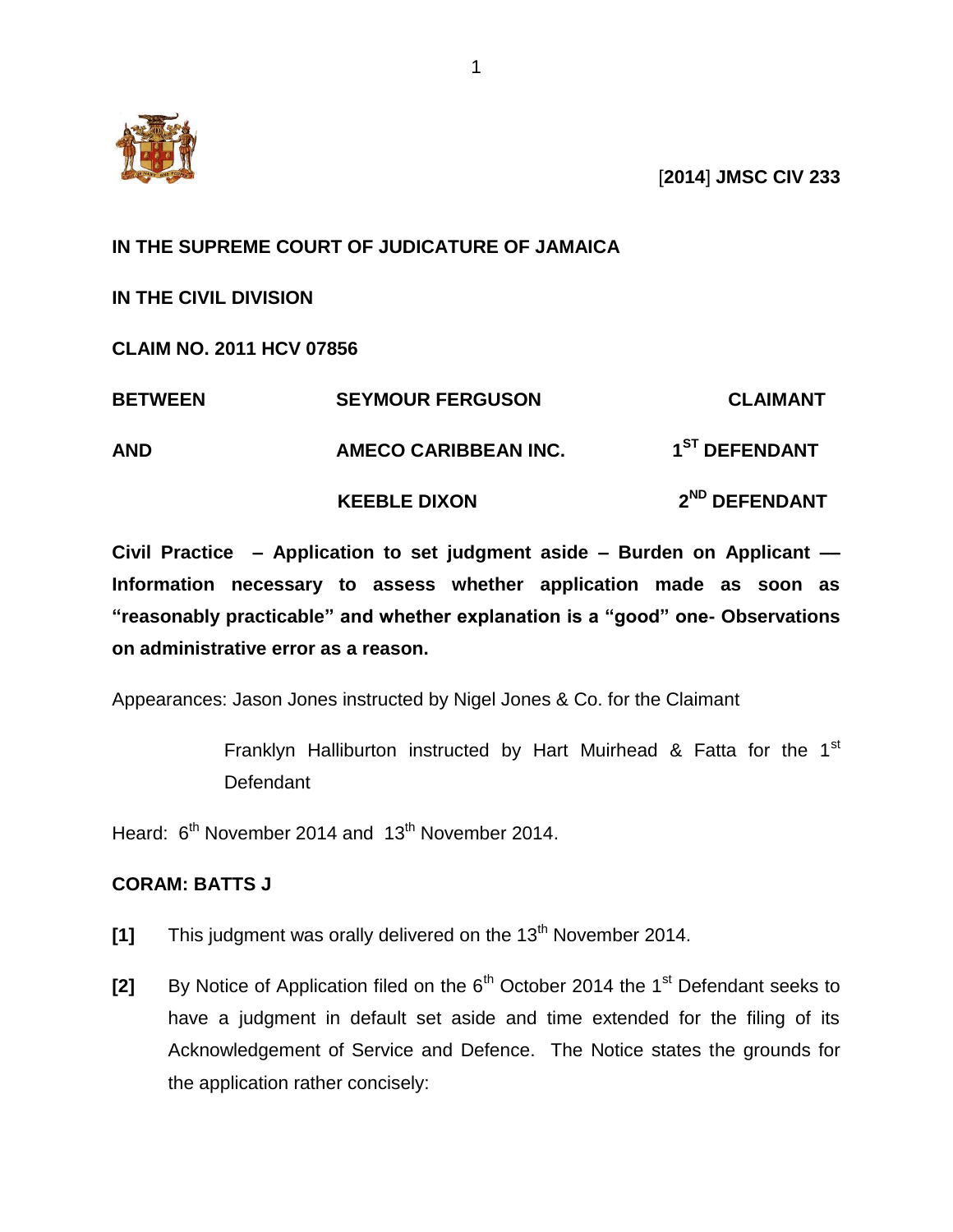

[**2014**] **JMSC CIV 233**

## **IN THE SUPREME COURT OF JUDICATURE OF JAMAICA**

**IN THE CIVIL DIVISION** 

**CLAIM NO. 2011 HCV 07856**

| <b>BETWEEN</b> | <b>SEYMOUR FERGUSON</b> | <b>CLAIMANT</b>           |
|----------------|-------------------------|---------------------------|
| <b>AND</b>     | AMECO CARIBBEAN INC.    | 1 <sup>ST</sup> DEFENDANT |
|                | <b>KEEBLE DIXON</b>     | 2 <sup>ND</sup> DEFENDANT |

**Civil Practice – Application to set judgment aside – Burden on Applicant –– Information necessary to assess whether application made as soon as "reasonably practicable" and whether explanation is a "good" one- Observations on administrative error as a reason.**

Appearances: Jason Jones instructed by Nigel Jones & Co. for the Claimant

Franklyn Halliburton instructed by Hart Muirhead & Fatta for the 1<sup>st</sup> Defendant

Heard: 6<sup>th</sup> November 2014 and 13<sup>th</sup> November 2014.

## **CORAM: BATTS J**

- **[1]** This judgment was orally delivered on the 13<sup>th</sup> November 2014.
- **[2]** By Notice of Application filed on the 6<sup>th</sup> October 2014 the 1<sup>st</sup> Defendant seeks to have a judgment in default set aside and time extended for the filing of its Acknowledgement of Service and Defence. The Notice states the grounds for the application rather concisely: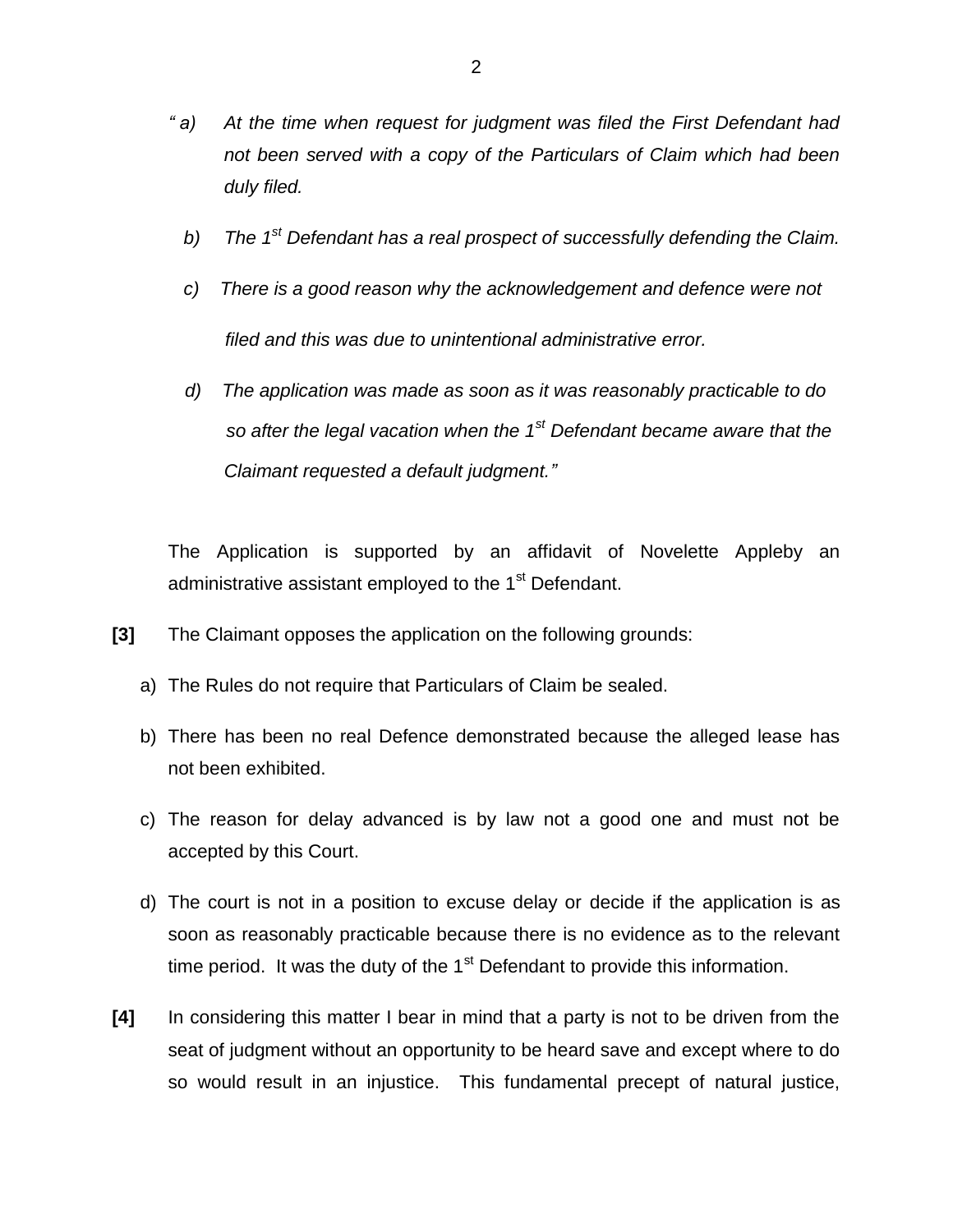- *" a) At the time when request for judgment was filed the First Defendant had not been served with a copy of the Particulars of Claim which had been duly filed.*
	- *b) The 1st Defendant has a real prospect of successfully defending the Claim.*
	- *c) There is a good reason why the acknowledgement and defence were not filed and this was due to unintentional administrative error.*
	- *d) The application was made as soon as it was reasonably practicable to do so after the legal vacation when the 1st Defendant became aware that the Claimant requested a default judgment."*

The Application is supported by an affidavit of Novelette Appleby an administrative assistant employed to the 1<sup>st</sup> Defendant.

- **[3]** The Claimant opposes the application on the following grounds:
	- a) The Rules do not require that Particulars of Claim be sealed.
	- b) There has been no real Defence demonstrated because the alleged lease has not been exhibited.
	- c) The reason for delay advanced is by law not a good one and must not be accepted by this Court.
	- d) The court is not in a position to excuse delay or decide if the application is as soon as reasonably practicable because there is no evidence as to the relevant time period. It was the duty of the  $1<sup>st</sup>$  Defendant to provide this information.
- **[4]** In considering this matter I bear in mind that a party is not to be driven from the seat of judgment without an opportunity to be heard save and except where to do so would result in an injustice. This fundamental precept of natural justice,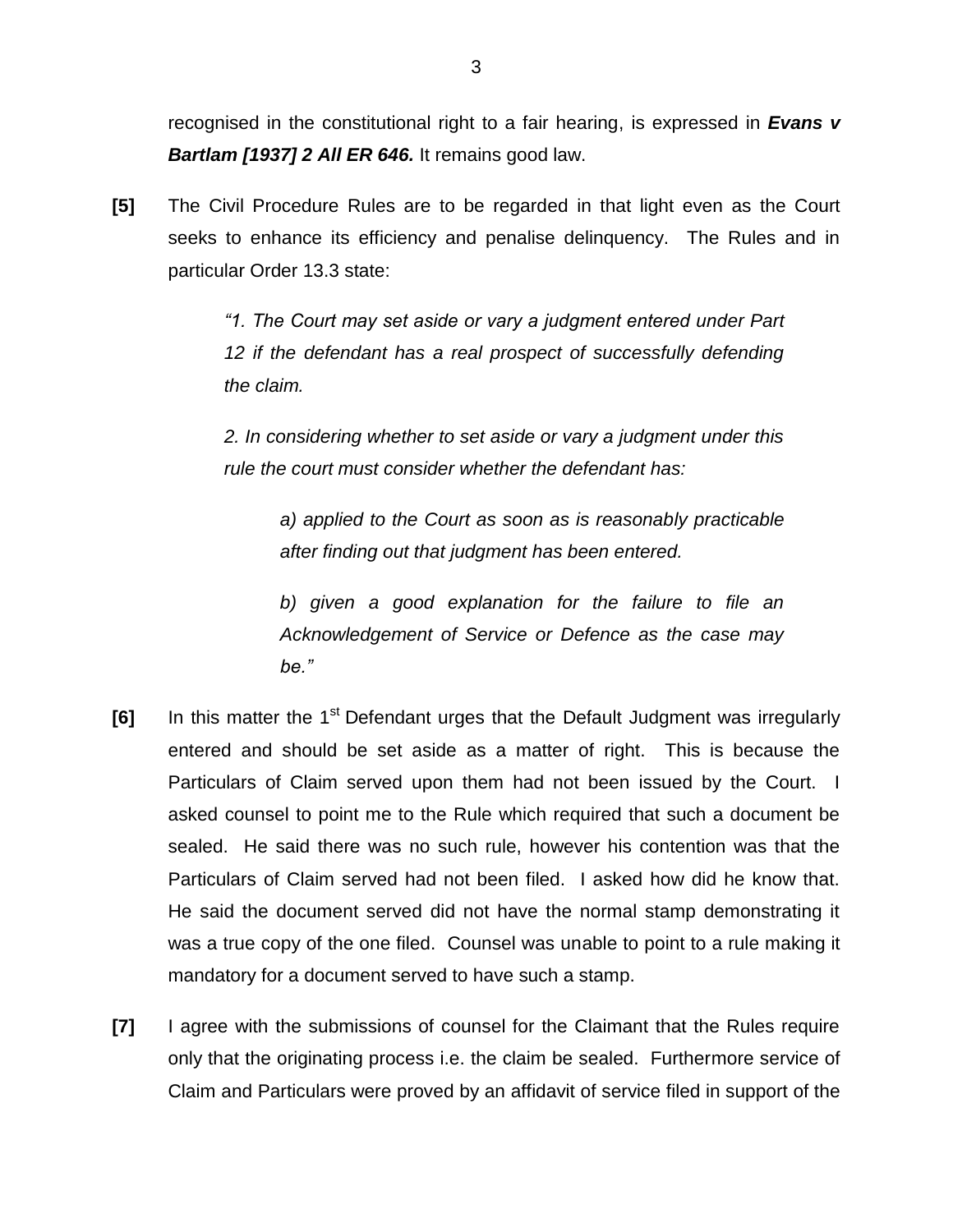recognised in the constitutional right to a fair hearing, is expressed in *Evans v Bartlam [1937] 2 All ER 646.* It remains good law.

**[5]** The Civil Procedure Rules are to be regarded in that light even as the Court seeks to enhance its efficiency and penalise delinquency. The Rules and in particular Order 13.3 state:

> *"1. The Court may set aside or vary a judgment entered under Part*  12 if the defendant has a real prospect of successfully defending *the claim.*

> *2. In considering whether to set aside or vary a judgment under this rule the court must consider whether the defendant has:*

> > *a) applied to the Court as soon as is reasonably practicable after finding out that judgment has been entered.*

> > *b) given a good explanation for the failure to file an Acknowledgement of Service or Defence as the case may be."*

- **[6]** In this matter the 1<sup>st</sup> Defendant urges that the Default Judgment was irregularly entered and should be set aside as a matter of right. This is because the Particulars of Claim served upon them had not been issued by the Court. I asked counsel to point me to the Rule which required that such a document be sealed. He said there was no such rule, however his contention was that the Particulars of Claim served had not been filed. I asked how did he know that. He said the document served did not have the normal stamp demonstrating it was a true copy of the one filed. Counsel was unable to point to a rule making it mandatory for a document served to have such a stamp.
- **[7]** I agree with the submissions of counsel for the Claimant that the Rules require only that the originating process i.e. the claim be sealed. Furthermore service of Claim and Particulars were proved by an affidavit of service filed in support of the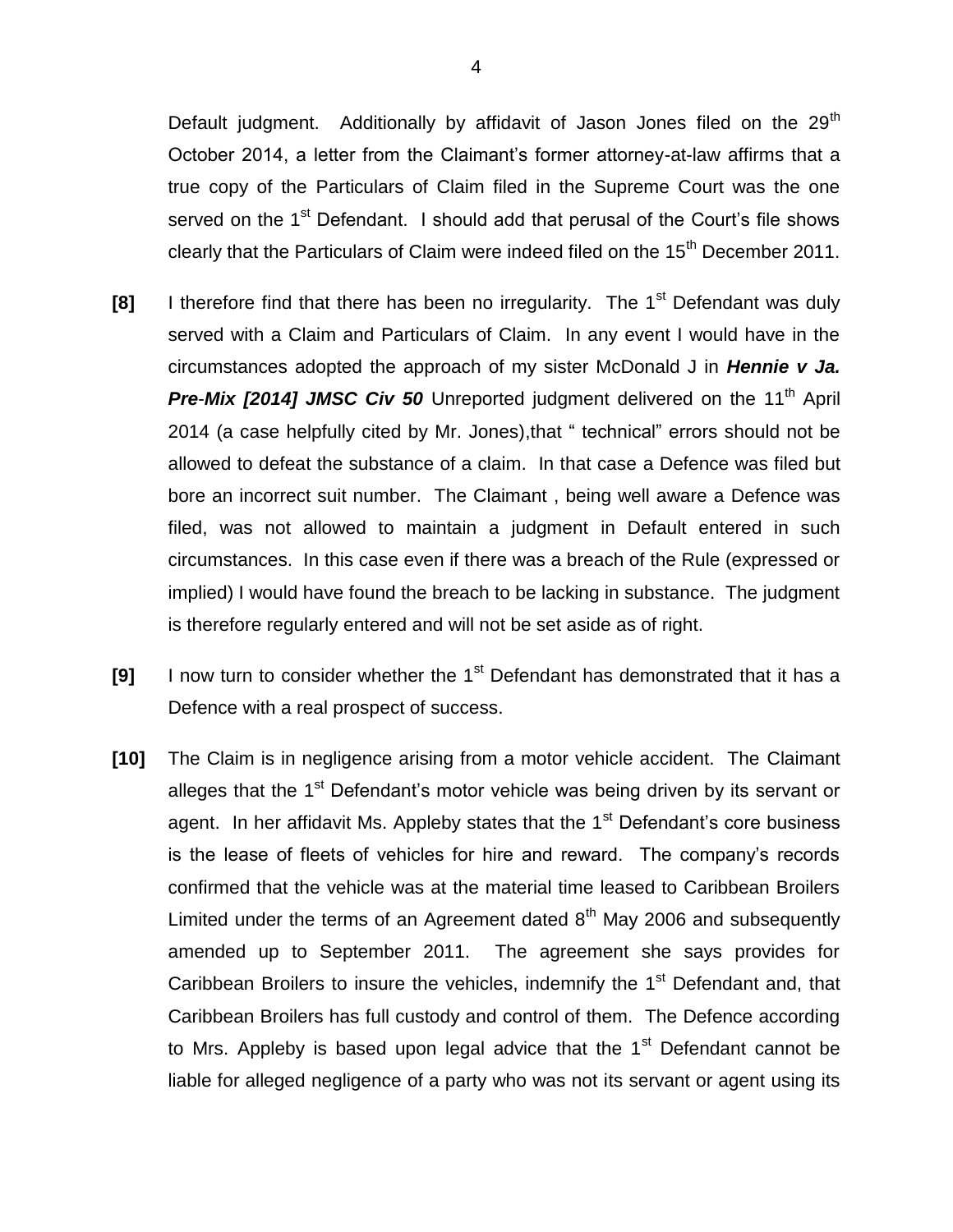Default judgment. Additionally by affidavit of Jason Jones filed on the 29<sup>th</sup> October 2014, a letter from the Claimant's former attorney-at-law affirms that a true copy of the Particulars of Claim filed in the Supreme Court was the one served on the 1<sup>st</sup> Defendant. I should add that perusal of the Court's file shows clearly that the Particulars of Claim were indeed filed on the 15<sup>th</sup> December 2011.

- **[8]** I therefore find that there has been no irregularity. The 1<sup>st</sup> Defendant was duly served with a Claim and Particulars of Claim. In any event I would have in the circumstances adopted the approach of my sister McDonald J in *Hennie v Ja.*  **Pre-Mix [2014] JMSC Civ 50** Unreported judgment delivered on the 11<sup>th</sup> April 2014 (a case helpfully cited by Mr. Jones),that " technical" errors should not be allowed to defeat the substance of a claim. In that case a Defence was filed but bore an incorrect suit number. The Claimant , being well aware a Defence was filed, was not allowed to maintain a judgment in Default entered in such circumstances. In this case even if there was a breach of the Rule (expressed or implied) I would have found the breach to be lacking in substance. The judgment is therefore regularly entered and will not be set aside as of right.
- **[9]** I now turn to consider whether the 1<sup>st</sup> Defendant has demonstrated that it has a Defence with a real prospect of success.
- **[10]** The Claim is in negligence arising from a motor vehicle accident. The Claimant alleges that the 1<sup>st</sup> Defendant's motor vehicle was being driven by its servant or agent. In her affidavit Ms. Appleby states that the  $1<sup>st</sup>$  Defendant's core business is the lease of fleets of vehicles for hire and reward. The company's records confirmed that the vehicle was at the material time leased to Caribbean Broilers Limited under the terms of an Agreement dated  $8<sup>th</sup>$  May 2006 and subsequently amended up to September 2011. The agreement she says provides for Caribbean Broilers to insure the vehicles, indemnify the 1<sup>st</sup> Defendant and, that Caribbean Broilers has full custody and control of them. The Defence according to Mrs. Appleby is based upon legal advice that the  $1<sup>st</sup>$  Defendant cannot be liable for alleged negligence of a party who was not its servant or agent using its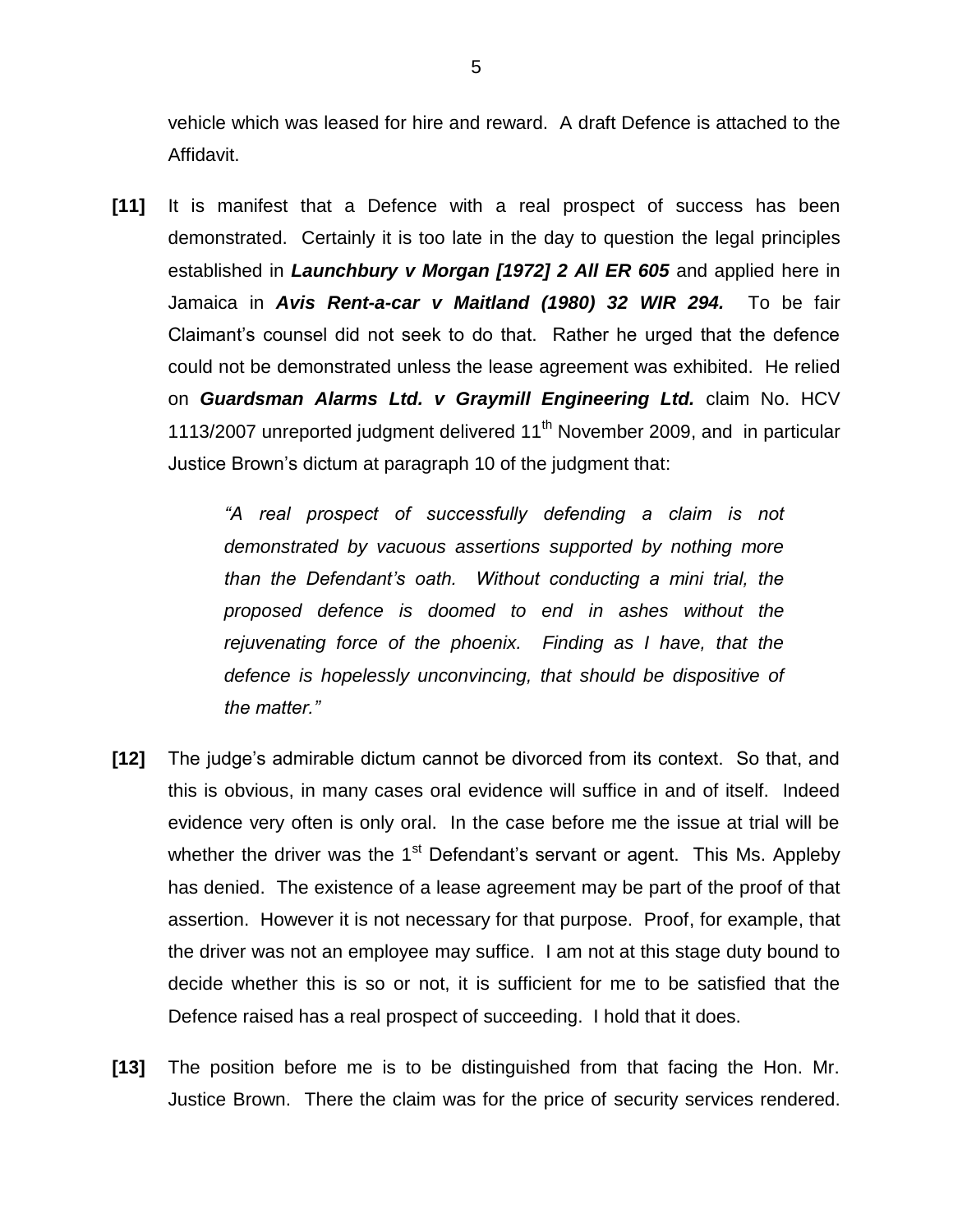vehicle which was leased for hire and reward. A draft Defence is attached to the Affidavit.

**[11]** It is manifest that a Defence with a real prospect of success has been demonstrated. Certainly it is too late in the day to question the legal principles established in *Launchbury v Morgan [1972] 2 All ER 605* and applied here in Jamaica in *Avis Rent-a-car v Maitland (1980) 32 WIR 294.* To be fair Claimant's counsel did not seek to do that. Rather he urged that the defence could not be demonstrated unless the lease agreement was exhibited. He relied on *Guardsman Alarms Ltd. v Graymill Engineering Ltd.* claim No. HCV 1113/2007 unreported judgment delivered 11<sup>th</sup> November 2009, and in particular Justice Brown's dictum at paragraph 10 of the judgment that:

> *"A real prospect of successfully defending a claim is not demonstrated by vacuous assertions supported by nothing more than the Defendant's oath. Without conducting a mini trial, the proposed defence is doomed to end in ashes without the rejuvenating force of the phoenix. Finding as I have, that the defence is hopelessly unconvincing, that should be dispositive of the matter."*

- **[12]** The judge's admirable dictum cannot be divorced from its context. So that, and this is obvious, in many cases oral evidence will suffice in and of itself. Indeed evidence very often is only oral. In the case before me the issue at trial will be whether the driver was the  $1<sup>st</sup>$  Defendant's servant or agent. This Ms. Appleby has denied. The existence of a lease agreement may be part of the proof of that assertion. However it is not necessary for that purpose. Proof, for example, that the driver was not an employee may suffice. I am not at this stage duty bound to decide whether this is so or not, it is sufficient for me to be satisfied that the Defence raised has a real prospect of succeeding. I hold that it does.
- **[13]** The position before me is to be distinguished from that facing the Hon. Mr. Justice Brown. There the claim was for the price of security services rendered.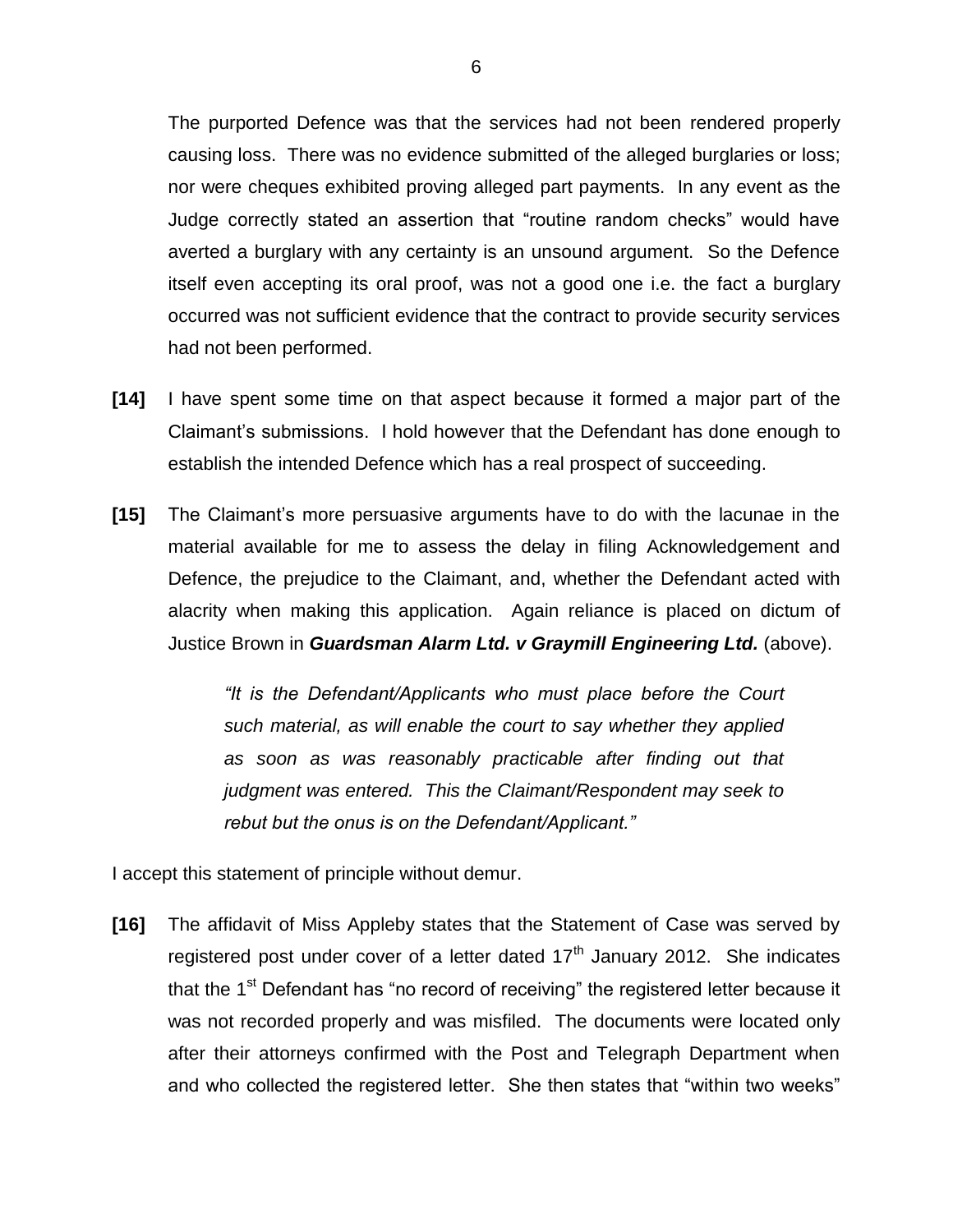The purported Defence was that the services had not been rendered properly causing loss. There was no evidence submitted of the alleged burglaries or loss; nor were cheques exhibited proving alleged part payments. In any event as the Judge correctly stated an assertion that "routine random checks" would have averted a burglary with any certainty is an unsound argument. So the Defence itself even accepting its oral proof, was not a good one i.e. the fact a burglary occurred was not sufficient evidence that the contract to provide security services had not been performed.

- **[14]** I have spent some time on that aspect because it formed a major part of the Claimant's submissions. I hold however that the Defendant has done enough to establish the intended Defence which has a real prospect of succeeding.
- **[15]** The Claimant's more persuasive arguments have to do with the lacunae in the material available for me to assess the delay in filing Acknowledgement and Defence, the prejudice to the Claimant, and, whether the Defendant acted with alacrity when making this application. Again reliance is placed on dictum of Justice Brown in *Guardsman Alarm Ltd. v Graymill Engineering Ltd.* (above).

*"It is the Defendant/Applicants who must place before the Court such material, as will enable the court to say whether they applied as soon as was reasonably practicable after finding out that judgment was entered. This the Claimant/Respondent may seek to rebut but the onus is on the Defendant/Applicant."*

I accept this statement of principle without demur.

**[16]** The affidavit of Miss Appleby states that the Statement of Case was served by registered post under cover of a letter dated  $17<sup>th</sup>$  January 2012. She indicates that the 1<sup>st</sup> Defendant has "no record of receiving" the registered letter because it was not recorded properly and was misfiled. The documents were located only after their attorneys confirmed with the Post and Telegraph Department when and who collected the registered letter. She then states that "within two weeks"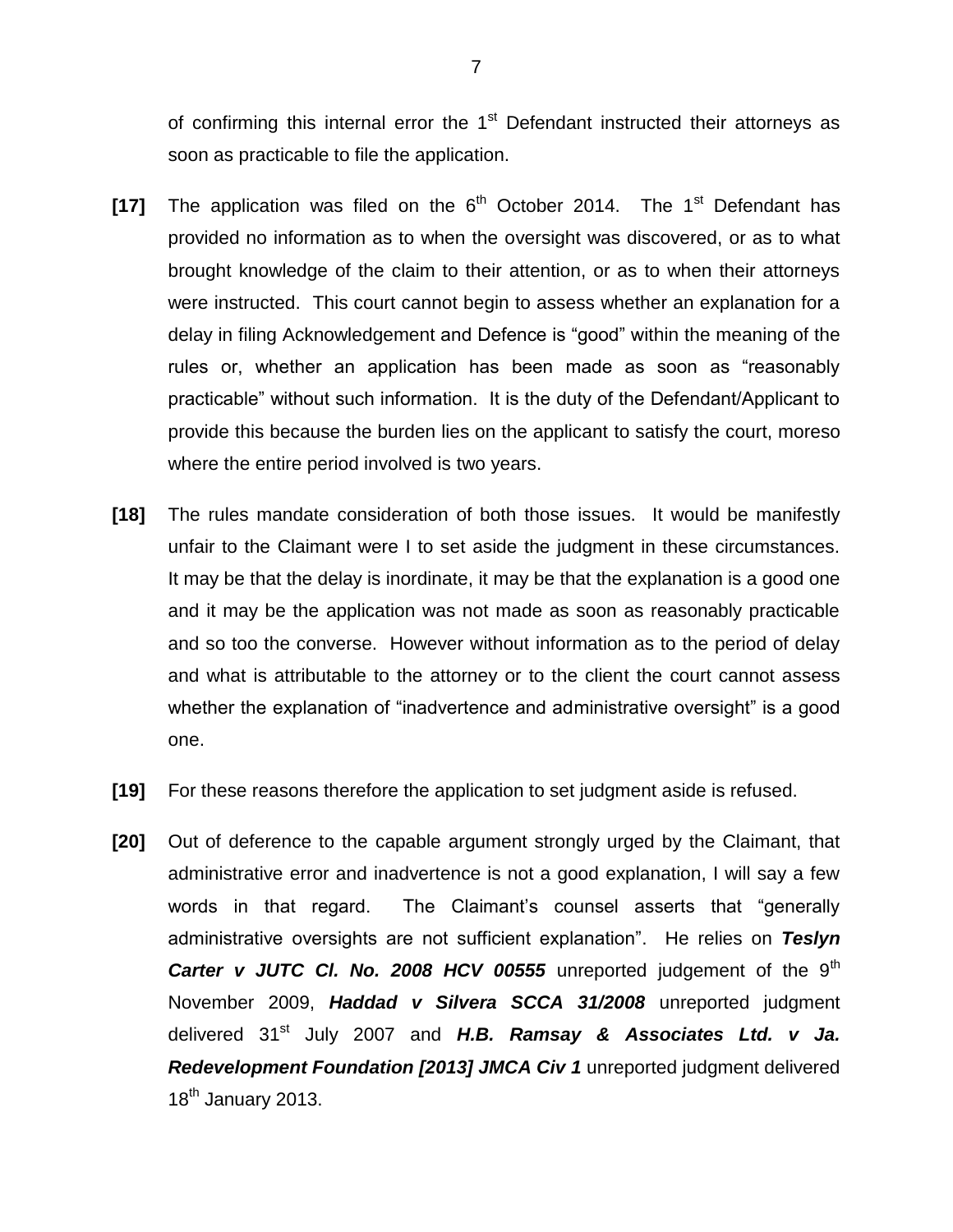of confirming this internal error the  $1<sup>st</sup>$  Defendant instructed their attorneys as soon as practicable to file the application.

- **[17]** The application was filed on the  $6<sup>th</sup>$  October 2014. The 1<sup>st</sup> Defendant has provided no information as to when the oversight was discovered, or as to what brought knowledge of the claim to their attention, or as to when their attorneys were instructed. This court cannot begin to assess whether an explanation for a delay in filing Acknowledgement and Defence is "good" within the meaning of the rules or, whether an application has been made as soon as "reasonably practicable" without such information. It is the duty of the Defendant/Applicant to provide this because the burden lies on the applicant to satisfy the court, moreso where the entire period involved is two years.
- **[18]** The rules mandate consideration of both those issues. It would be manifestly unfair to the Claimant were I to set aside the judgment in these circumstances. It may be that the delay is inordinate, it may be that the explanation is a good one and it may be the application was not made as soon as reasonably practicable and so too the converse. However without information as to the period of delay and what is attributable to the attorney or to the client the court cannot assess whether the explanation of "inadvertence and administrative oversight" is a good one.
- **[19]** For these reasons therefore the application to set judgment aside is refused.
- **[20]** Out of deference to the capable argument strongly urged by the Claimant, that administrative error and inadvertence is not a good explanation, I will say a few words in that regard. The Claimant's counsel asserts that "generally administrative oversights are not sufficient explanation". He relies on *Teslyn Carter v JUTC CI. No. 2008 HCV 00555* unreported judgement of the 9<sup>th</sup> November 2009, *Haddad v Silvera SCCA 31/2008* unreported judgment delivered 31<sup>st</sup> July 2007 and H.B. Ramsay & Associates Ltd. v Ja. **Redevelopment Foundation [2013] JMCA Civ 1** unreported judgment delivered 18<sup>th</sup> January 2013.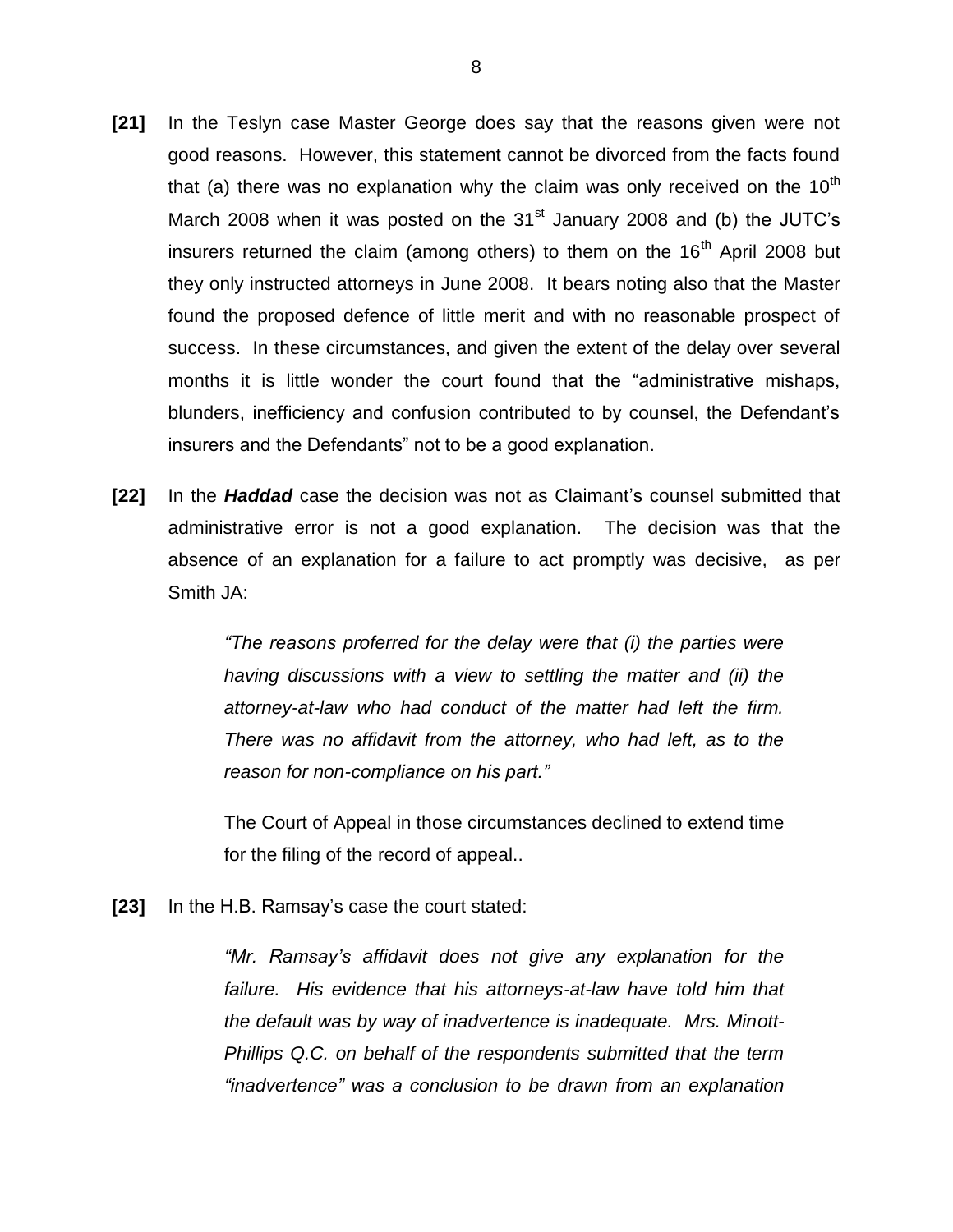- **[21]** In the Teslyn case Master George does say that the reasons given were not good reasons. However, this statement cannot be divorced from the facts found that (a) there was no explanation why the claim was only received on the 10<sup>th</sup> March 2008 when it was posted on the  $31<sup>st</sup>$  January 2008 and (b) the JUTC's insurers returned the claim (among others) to them on the  $16<sup>th</sup>$  April 2008 but they only instructed attorneys in June 2008. It bears noting also that the Master found the proposed defence of little merit and with no reasonable prospect of success. In these circumstances, and given the extent of the delay over several months it is little wonder the court found that the "administrative mishaps, blunders, inefficiency and confusion contributed to by counsel, the Defendant's insurers and the Defendants" not to be a good explanation.
- **[22]** In the *Haddad* case the decision was not as Claimant's counsel submitted that administrative error is not a good explanation. The decision was that the absence of an explanation for a failure to act promptly was decisive, as per Smith JA:

*"The reasons proferred for the delay were that (i) the parties were having discussions with a view to settling the matter and (ii) the attorney-at-law who had conduct of the matter had left the firm. There was no affidavit from the attorney, who had left, as to the reason for non-compliance on his part."*

The Court of Appeal in those circumstances declined to extend time for the filing of the record of appeal..

**[23]** In the H.B. Ramsay's case the court stated:

*"Mr. Ramsay's affidavit does not give any explanation for the failure. His evidence that his attorneys-at-law have told him that the default was by way of inadvertence is inadequate. Mrs. Minott-Phillips Q.C. on behalf of the respondents submitted that the term "inadvertence" was a conclusion to be drawn from an explanation*